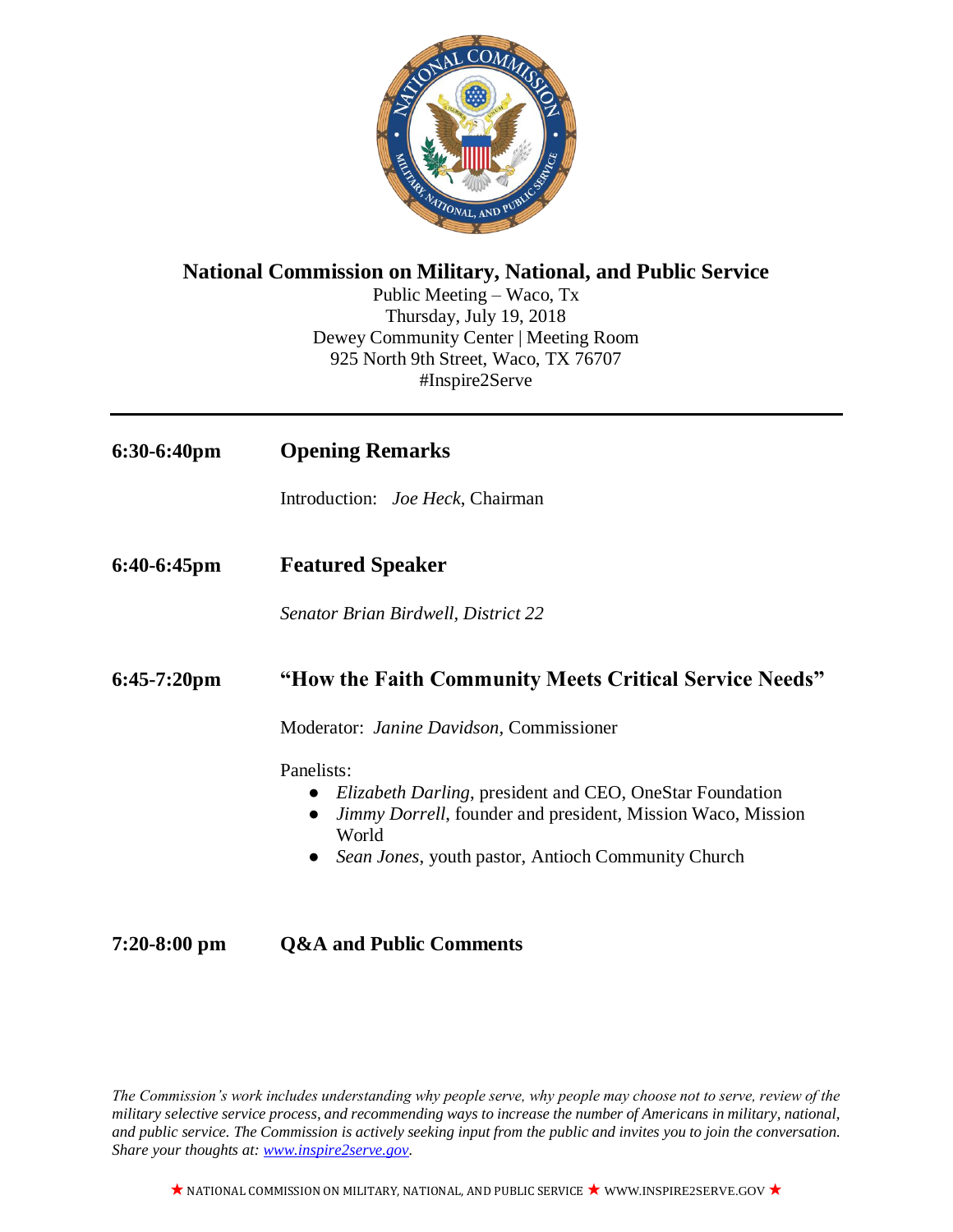

## **National Commission on Military, National, and Public Service**

Public Meeting – Waco, Tx Thursday, July 19, 2018 Dewey Community Center | Meeting Room 925 North 9th Street, Waco, TX 76707 #Inspire2Serve

| $6:30-6:40 \text{pm}$ | <b>Opening Remarks</b>                                                                                                                                                                                                    |
|-----------------------|---------------------------------------------------------------------------------------------------------------------------------------------------------------------------------------------------------------------------|
|                       | Introduction: <i>Joe Heck</i> , Chairman                                                                                                                                                                                  |
| $6:40-6:45$ pm        | <b>Featured Speaker</b>                                                                                                                                                                                                   |
|                       | Senator Brian Birdwell, District 22                                                                                                                                                                                       |
| $6:45-7:20$ pm        | "How the Faith Community Meets Critical Service Needs"                                                                                                                                                                    |
|                       | Moderator: Janine Davidson, Commissioner                                                                                                                                                                                  |
|                       | Panelists:<br><i>Elizabeth Darling</i> , president and CEO, OneStar Foundation<br>Jimmy Dorrell, founder and president, Mission Waco, Mission<br>$\bullet$<br>World<br>Sean Jones, youth pastor, Antioch Community Church |

# **7:20-8:00 pm Q&A and Public Comments**

*The Commission's work includes understanding why people serve, why people may choose not to serve, review of the military selective service process, and recommending ways to increase the number of Americans in military, national, and public service. The Commission is actively seeking input from the public and invites you to join the conversation. Share your thoughts at: [www.inspire2serve.gov.](http://www.inspire2serve.gov/)*